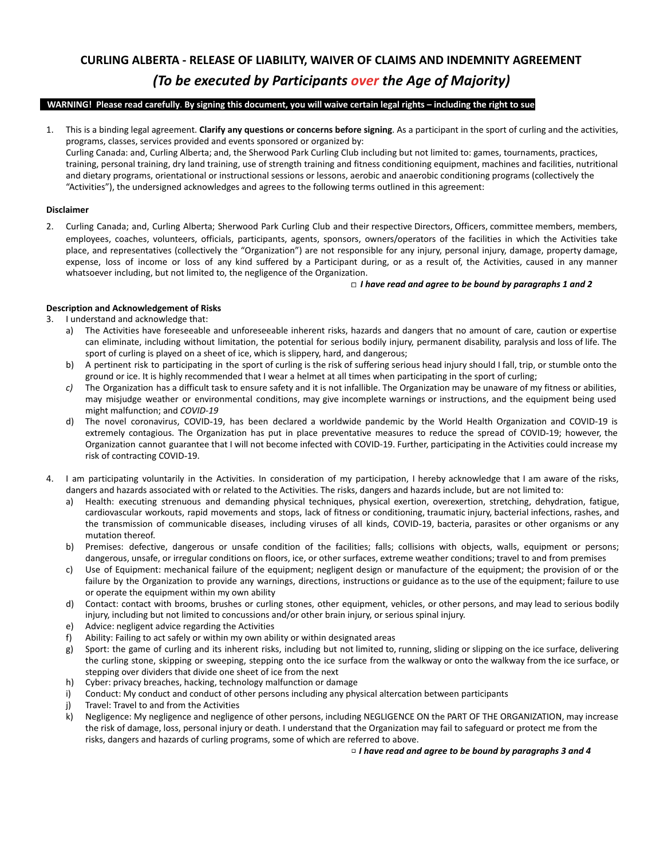# **CURLING ALBERTA - RELEASE OF LIABILITY, WAIVER OF CLAIMS AND INDEMNITY AGREEMENT**  *(To be executed by Participants over the Age of Majority)*

## **WARNING! Please read carefully** . **By signing this document, you will waive certain legal rights – including the right to sue**

1. This is a binding legal agreement. **Clarify any questions or concerns before signing** . As a participant in the sport of curling and the activities, programs, classes, services provided and events sponsored or organized by:

Curling Canada: and, Curling Alberta; and, the Sherwood Park Curling Club including but not limited to: games, tournaments, practices, training, personal training, dry land training, use of strength training and fitness conditioning equipment, machines and facilities, nutritional and dietary programs, orientational or instructional sessions or lessons, aerobic and anaerobic conditioning programs (collectively the "Activities"), the undersigned acknowledges and agrees to the following terms outlined in this agreement:

## **Disclaimer**

2. Curling Canada; and, Curling Alberta; Sherwood Park Curling Club and their respective Directors, Officers, committee members, members, employees, coaches, volunteers, officials, participants, agents, sponsors, owners/operators of the facilities in which the Activities take place, and representatives (collectively the "Organization") are not responsible for any injury, personal injury, damage, property damage, expense, loss of income or loss of any kind suffered by a Participant during, or as a result of, the Activities, caused in any manner whatsoever including, but not limited to, the negligence of the Organization.

## □ *I have read and agree to be bound by paragraphs 1 and 2*

## **Description and Acknowledgement of Risks**

- 3. I understand and acknowledge that:
	- a) The Activities have foreseeable and unforeseeable inherent risks, hazards and dangers that no amount of care, caution or expertise can eliminate, including without limitation, the potential for serious bodily injury, permanent disability, paralysis and loss of life. The sport of curling is played on a sheet of ice, which is slippery, hard, and dangerous;
	- b) A pertinent risk to participating in the sport of curling is the risk of suffering serious head injury should I fall, trip, or stumble onto the ground or ice. It is highly recommended that I wear a helmet at all times when participating in the sport of curling;
	- *c)* The Organization has a difficult task to ensure safety and it is not infallible. The Organization may be unaware of my fitness or abilities, may misjudge weather or environmental conditions, may give incomplete warnings or instructions, and the equipment being used might malfunction; and *COVID-19*
	- d) The novel coronavirus, COVID-19, has been declared a worldwide pandemic by the World Health Organization and COVID-19 is extremely contagious. The Organization has put in place preventative measures to reduce the spread of COVID-19; however, the Organization cannot guarantee that I will not become infected with COVID-19. Further, participating in the Activities could increase my risk of contracting COVID-19.
- 4. I am participating voluntarily in the Activities. In consideration of my participation, I hereby acknowledge that I am aware of the risks, dangers and hazards associated with or related to the Activities. The risks, dangers and hazards include, but are not limited to:
	- a) Health: executing strenuous and demanding physical techniques, physical exertion, overexertion, stretching, dehydration, fatigue, cardiovascular workouts, rapid movements and stops, lack of fitness or conditioning, traumatic injury, bacterial infections, rashes, and the transmission of communicable diseases, including viruses of all kinds, COVID-19, bacteria, parasites or other organisms or any mutation thereof.
	- b) Premises: defective, dangerous or unsafe condition of the facilities; falls; collisions with objects, walls, equipment or persons; dangerous, unsafe, or irregular conditions on floors, ice, or other surfaces, extreme weather conditions; travel to and from premises
	- c) Use of Equipment: mechanical failure of the equipment; negligent design or manufacture of the equipment; the provision of or the failure by the Organization to provide any warnings, directions, instructions or guidance as to the use of the equipment; failure to use or operate the equipment within my own ability
	- d) Contact: contact with brooms, brushes or curling stones, other equipment, vehicles, or other persons, and may lead to serious bodily injury, including but not limited to concussions and/or other brain injury, or serious spinal injury.
	- e) Advice: negligent advice regarding the Activities
	- f) Ability: Failing to act safely or within my own ability or within designated areas
	- g) Sport: the game of curling and its inherent risks, including but not limited to, running, sliding or slipping on the ice surface, delivering the curling stone, skipping or sweeping, stepping onto the ice surface from the walkway or onto the walkway from the ice surface, or stepping over dividers that divide one sheet of ice from the next
	- h) Cyber: privacy breaches, hacking, technology malfunction or damage
	- i) Conduct: My conduct and conduct of other persons including any physical altercation between participants
	- j) Travel: Travel to and from the Activities
	- k) Negligence: My negligence and negligence of other persons, including NEGLIGENCE ON the PART OF THE ORGANIZATION, may increase the risk of damage, loss, personal injury or death. I understand that the Organization may fail to safeguard or protect me from the risks, dangers and hazards of curling programs, some of which are referred to above.

## □ *I have read and agree to be bound by paragraphs 3 and 4*